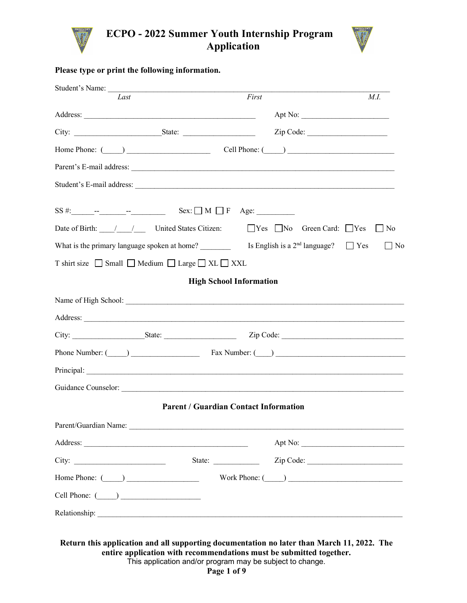



#### **Please type or print the following information.**

| Student's Name:<br>Last                                                   | First                                                                                                                                                                                                                                                                                                                                                                                                                                            | M.I.      |
|---------------------------------------------------------------------------|--------------------------------------------------------------------------------------------------------------------------------------------------------------------------------------------------------------------------------------------------------------------------------------------------------------------------------------------------------------------------------------------------------------------------------------------------|-----------|
|                                                                           |                                                                                                                                                                                                                                                                                                                                                                                                                                                  |           |
|                                                                           |                                                                                                                                                                                                                                                                                                                                                                                                                                                  |           |
|                                                                           |                                                                                                                                                                                                                                                                                                                                                                                                                                                  |           |
|                                                                           |                                                                                                                                                                                                                                                                                                                                                                                                                                                  |           |
|                                                                           |                                                                                                                                                                                                                                                                                                                                                                                                                                                  |           |
|                                                                           |                                                                                                                                                                                                                                                                                                                                                                                                                                                  |           |
|                                                                           | Date of Birth: $/$ / United States Citizen: $\Box$ Yes $\Box$ No Green Card: $\Box$ Yes                                                                                                                                                                                                                                                                                                                                                          | $\Box$ No |
|                                                                           | What is the primary language spoken at home? Is English is a $2nd$ language? $\Box$ Yes                                                                                                                                                                                                                                                                                                                                                          | $\Box$ No |
| T shirt size $\Box$ Small $\Box$ Medium $\Box$ Large $\Box$ XL $\Box$ XXL |                                                                                                                                                                                                                                                                                                                                                                                                                                                  |           |
|                                                                           | <b>High School Information</b>                                                                                                                                                                                                                                                                                                                                                                                                                   |           |
|                                                                           |                                                                                                                                                                                                                                                                                                                                                                                                                                                  |           |
|                                                                           | Address: <u>New York: Address:</u> New York: 2006                                                                                                                                                                                                                                                                                                                                                                                                |           |
|                                                                           |                                                                                                                                                                                                                                                                                                                                                                                                                                                  |           |
|                                                                           | Phone Number: (Call Communication of Tax Number: (Call Communication of Tax Number: (Call Communication of Tax Number: (Call Communication of Tax Number: (Call Communication of Tax Number: (Call Communication of Tax Number                                                                                                                                                                                                                   |           |
|                                                                           |                                                                                                                                                                                                                                                                                                                                                                                                                                                  |           |
|                                                                           | Guidance Counselor:                                                                                                                                                                                                                                                                                                                                                                                                                              |           |
|                                                                           | <b>Parent / Guardian Contact Information</b>                                                                                                                                                                                                                                                                                                                                                                                                     |           |
| Parent/Guardian Name:                                                     |                                                                                                                                                                                                                                                                                                                                                                                                                                                  |           |
|                                                                           |                                                                                                                                                                                                                                                                                                                                                                                                                                                  | Apt No:   |
| City: $\qquad \qquad \qquad$                                              | State: $\frac{1}{\sqrt{1-\frac{1}{2}} \cdot \frac{1}{\sqrt{1-\frac{1}{2}} \cdot \frac{1}{\sqrt{1-\frac{1}{2}} \cdot \frac{1}{\sqrt{1-\frac{1}{2}} \cdot \frac{1}{\sqrt{1-\frac{1}{2}} \cdot \frac{1}{\sqrt{1-\frac{1}{2}} \cdot \frac{1}{\sqrt{1-\frac{1}{2}} \cdot \frac{1}{\sqrt{1-\frac{1}{2}} \cdot \frac{1}{\sqrt{1-\frac{1}{2}} \cdot \frac{1}{\sqrt{1-\frac{1}{2}} \cdot \frac{1}{\sqrt{1-\frac{1}{2}} \cdot \frac{1}{\sqrt{1-\frac{1}{2$ |           |
| Home Phone: $(\_\_\_\_\_\_\_\$                                            | Work Phone: $(\_\_)$                                                                                                                                                                                                                                                                                                                                                                                                                             |           |
| Cell Phone: $(\_\_)$                                                      |                                                                                                                                                                                                                                                                                                                                                                                                                                                  |           |
|                                                                           |                                                                                                                                                                                                                                                                                                                                                                                                                                                  |           |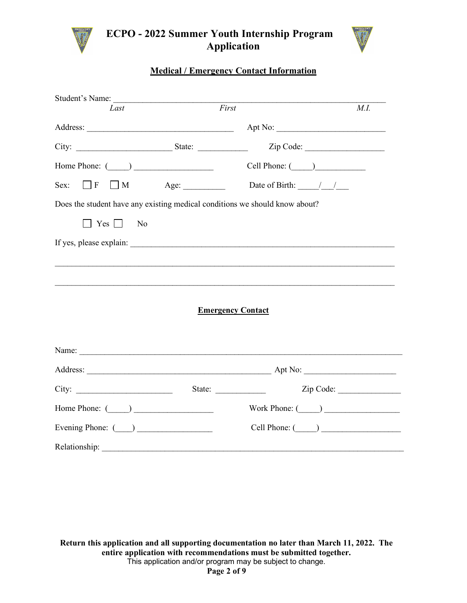

### **ECPO - 2022 Summer Youth Internship Program Application**



### **Medical / Emergency Contact Information**

| Student's Name:                                                             |       |                                                                                                                                                                                                                                |           |
|-----------------------------------------------------------------------------|-------|--------------------------------------------------------------------------------------------------------------------------------------------------------------------------------------------------------------------------------|-----------|
| Last                                                                        | First |                                                                                                                                                                                                                                | M.I.      |
|                                                                             |       |                                                                                                                                                                                                                                |           |
|                                                                             |       |                                                                                                                                                                                                                                |           |
|                                                                             |       | Home Phone: (Call Phone: Cell Phone: (Call Phone: (Call Phone: (Call Phone: (Call Phone: (Call Phone: (Call Phone: Call Phone: Call Phone: Call Phone: (Call Phone: Call Phone: Call Phone: Call Phone: Call Phone: Call Phone |           |
|                                                                             |       | Sex: $\Box$ F $\Box$ M Age: Date of Birth: $\Box$ / /                                                                                                                                                                          |           |
| Does the student have any existing medical conditions we should know about? |       |                                                                                                                                                                                                                                |           |
| $\top$ Yes $\Box$ No                                                        |       |                                                                                                                                                                                                                                |           |
|                                                                             |       |                                                                                                                                                                                                                                |           |
|                                                                             |       |                                                                                                                                                                                                                                |           |
|                                                                             |       |                                                                                                                                                                                                                                |           |
|                                                                             |       |                                                                                                                                                                                                                                |           |
|                                                                             |       | <b>Emergency Contact</b>                                                                                                                                                                                                       |           |
|                                                                             |       |                                                                                                                                                                                                                                |           |
|                                                                             |       |                                                                                                                                                                                                                                |           |
|                                                                             |       |                                                                                                                                                                                                                                |           |
| City:                                                                       |       | State:                                                                                                                                                                                                                         | Zip Code: |
| Home Phone: $\qquad \qquad$                                                 |       | Work Phone: $(\_\_)$                                                                                                                                                                                                           |           |
|                                                                             |       |                                                                                                                                                                                                                                |           |
| Relationship:                                                               |       |                                                                                                                                                                                                                                |           |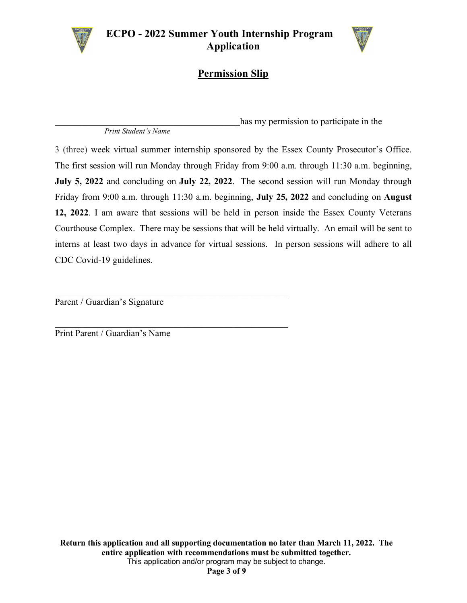



# **Permission Slip**

 *Print Student's Name* 

\_\_\_\_\_\_\_\_\_\_\_\_\_\_\_\_\_\_\_\_\_\_\_\_\_\_\_\_\_\_\_\_\_\_\_\_\_\_\_\_ has my permission to participate in the

3 (three) week virtual summer internship sponsored by the Essex County Prosecutor's Office. The first session will run Monday through Friday from 9:00 a.m. through 11:30 a.m. beginning, **July 5, 2022** and concluding on **July 22, 2022**. The second session will run Monday through Friday from 9:00 a.m. through 11:30 a.m. beginning, **July 25, 2022** and concluding on **August 12, 2022**. I am aware that sessions will be held in person inside the Essex County Veterans Courthouse Complex. There may be sessions that will be held virtually. An email will be sent to interns at least two days in advance for virtual sessions. In person sessions will adhere to all CDC Covid-19 guidelines.

Parent / Guardian's Signature

Print Parent / Guardian's Name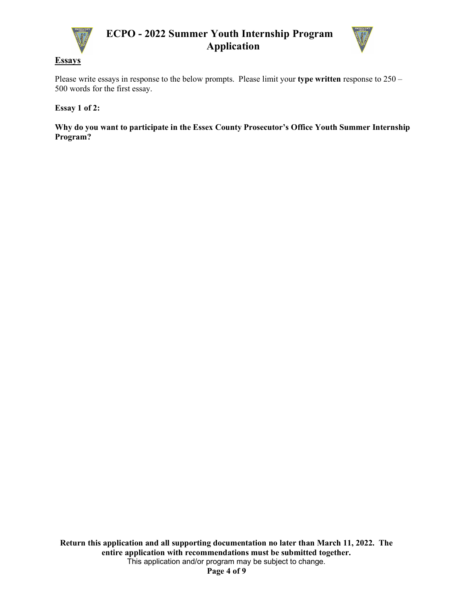

**Essays** 

## **ECPO - 2022 Summer Youth Internship Program Application**



Please write essays in response to the below prompts. Please limit your **type written** response to 250 – 500 words for the first essay.

**Essay 1 of 2:** 

**Why do you want to participate in the Essex County Prosecutor's Office Youth Summer Internship Program?**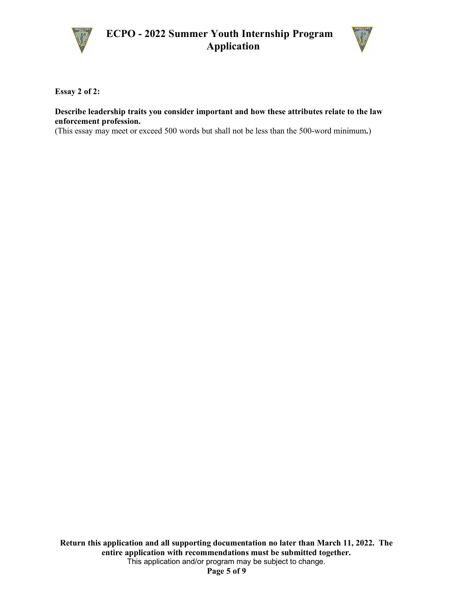



**Essay 2 of 2:** 

**Describe leadership traits you consider important and how these attributes relate to the law enforcement profession.**

(This essay may meet or exceed 500 words but shall not be less than the 500-word minimum**.**)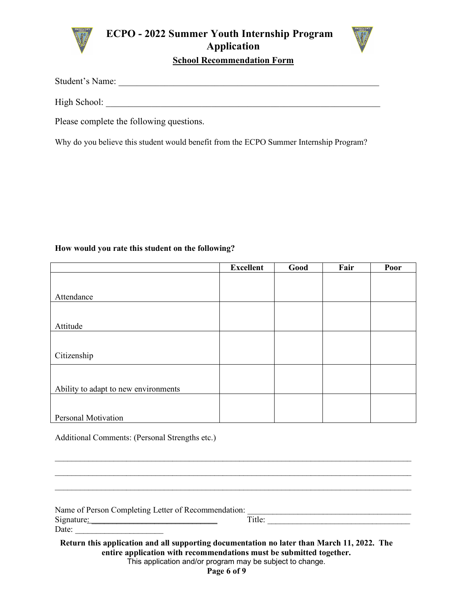



#### **School Recommendation Form**

Student's Name: \_\_\_\_\_\_\_\_\_\_\_\_\_\_\_\_\_\_\_\_\_\_\_\_\_\_\_\_\_\_\_\_\_\_\_\_\_\_\_\_\_\_\_\_\_\_\_\_\_\_\_\_\_\_\_\_\_

High School: **We have a set of the set of the set of the set of the set of the set of the set of the set of the set of the set of the set of the set of the set of the set of the set of the set of the set of the set of the** 

Please complete the following questions.

Why do you believe this student would benefit from the ECPO Summer Internship Program?

#### **How would you rate this student on the following?**

|                                      | <b>Excellent</b> | Good | Fair | Poor |
|--------------------------------------|------------------|------|------|------|
|                                      |                  |      |      |      |
|                                      |                  |      |      |      |
| Attendance                           |                  |      |      |      |
|                                      |                  |      |      |      |
|                                      |                  |      |      |      |
| Attitude                             |                  |      |      |      |
|                                      |                  |      |      |      |
|                                      |                  |      |      |      |
| Citizenship                          |                  |      |      |      |
|                                      |                  |      |      |      |
|                                      |                  |      |      |      |
| Ability to adapt to new environments |                  |      |      |      |
|                                      |                  |      |      |      |
|                                      |                  |      |      |      |
| <b>Personal Motivation</b>           |                  |      |      |      |

Additional Comments: (Personal Strengths etc.)

Name of Person Completing Letter of Recommendation: \_\_\_\_\_\_\_\_\_\_\_\_\_\_\_\_\_\_\_\_\_\_\_\_\_\_\_\_\_\_\_\_\_\_\_\_\_\_\_ Signature: \_\_\_\_\_\_\_\_\_\_\_\_\_\_\_\_\_\_\_\_\_\_\_\_\_\_\_\_\_\_ Title: \_\_\_\_\_\_\_\_\_\_\_\_\_\_\_\_\_\_\_\_\_\_\_\_\_\_\_\_\_\_\_\_\_\_ Date:

\_\_\_\_\_\_\_\_\_\_\_\_\_\_\_\_\_\_\_\_\_\_\_\_\_\_\_\_\_\_\_\_\_\_\_\_\_\_\_\_\_\_\_\_\_\_\_\_\_\_\_\_\_\_\_\_\_\_\_\_\_\_\_\_\_\_\_\_\_\_\_\_\_\_\_\_\_\_\_\_\_\_\_\_\_  $\_$  , and the set of the set of the set of the set of the set of the set of the set of the set of the set of the set of the set of the set of the set of the set of the set of the set of the set of the set of the set of th \_\_\_\_\_\_\_\_\_\_\_\_\_\_\_\_\_\_\_\_\_\_\_\_\_\_\_\_\_\_\_\_\_\_\_\_\_\_\_\_\_\_\_\_\_\_\_\_\_\_\_\_\_\_\_\_\_\_\_\_\_\_\_\_\_\_\_\_\_\_\_\_\_\_\_\_\_\_\_\_\_\_\_\_\_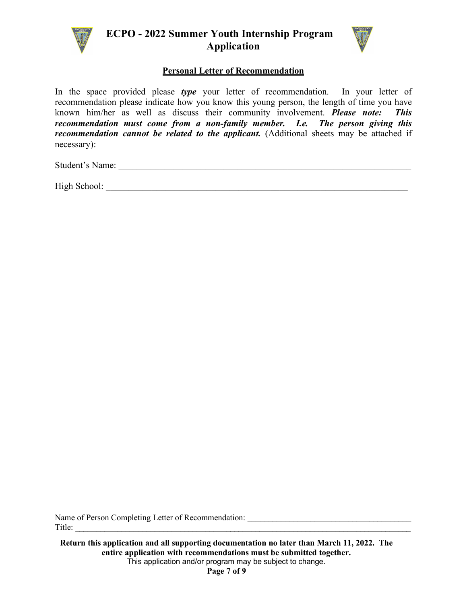

### **ECPO - 2022 Summer Youth Internship Program Application**



#### **Personal Letter of Recommendation**

In the space provided please *type* your letter of recommendation. In your letter of recommendation please indicate how you know this young person, the length of time you have known him/her as well as discuss their community involvement. *Please note: This recommendation must come from a non-family member. I.e. The person giving this recommendation cannot be related to the applicant.* (Additional sheets may be attached if necessary):

Student's Name: \_\_\_\_\_\_\_\_\_\_\_\_\_\_\_\_\_\_\_\_\_\_\_\_\_\_\_\_\_\_\_\_\_\_\_\_\_\_\_\_\_\_\_\_\_\_\_\_\_\_\_\_\_\_\_\_\_\_\_\_\_\_\_\_

High School: \_\_\_\_\_\_\_\_\_\_\_\_\_\_\_\_\_\_\_\_\_\_\_\_\_\_\_\_\_\_\_\_\_\_\_\_\_\_\_\_\_\_\_\_\_\_\_\_\_\_\_\_\_\_\_\_\_\_\_\_\_\_\_\_\_\_

Name of Person Completing Letter of Recommendation: Title: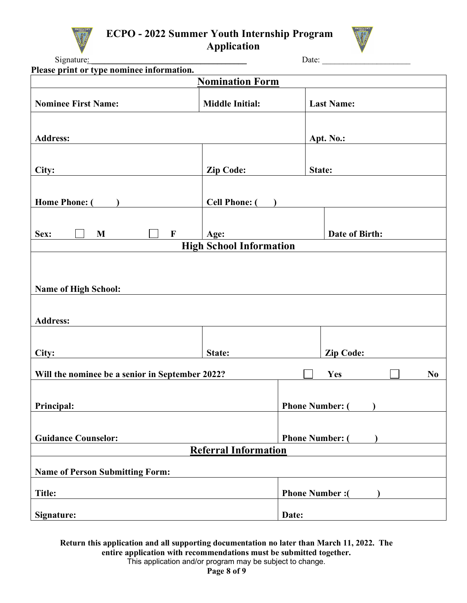**ECPO - 2022 Summer Youth Internship Program** 



**Application** 

| Signature:                                           |                        | Date:                  |                   |  |                |
|------------------------------------------------------|------------------------|------------------------|-------------------|--|----------------|
| Please print or type nominee information.            |                        |                        |                   |  |                |
|                                                      | <b>Nomination Form</b> |                        |                   |  |                |
| <b>Nominee First Name:</b>                           | <b>Middle Initial:</b> |                        | <b>Last Name:</b> |  |                |
|                                                      |                        |                        |                   |  |                |
| <b>Address:</b>                                      |                        |                        | Apt. No.:         |  |                |
|                                                      |                        |                        |                   |  |                |
| City:                                                | <b>Zip Code:</b>       | State:                 |                   |  |                |
|                                                      |                        |                        |                   |  |                |
| <b>Home Phone: (</b>                                 | <b>Cell Phone: (</b>   |                        |                   |  |                |
|                                                      |                        |                        |                   |  |                |
| Sex:<br>M<br>$\mathbf F$                             | Age:                   |                        | Date of Birth:    |  |                |
| <b>High School Information</b>                       |                        |                        |                   |  |                |
| <b>Name of High School:</b>                          |                        |                        |                   |  |                |
| <b>Address:</b>                                      |                        |                        |                   |  |                |
|                                                      |                        |                        |                   |  |                |
| City:                                                | State:                 |                        | <b>Zip Code:</b>  |  |                |
| Will the nominee be a senior in September 2022?      |                        |                        | Yes               |  | N <sub>0</sub> |
| Principal:                                           |                        | <b>Phone Number: (</b> |                   |  |                |
| <b>Guidance Counselor:</b><br><b>Phone Number: (</b> |                        |                        |                   |  |                |
| <b>Referral Information</b>                          |                        |                        |                   |  |                |
| <b>Name of Person Submitting Form:</b>               |                        |                        |                   |  |                |
| Title:                                               |                        | <b>Phone Number:</b> ( |                   |  |                |
| Signature:                                           |                        | Date:                  |                   |  |                |